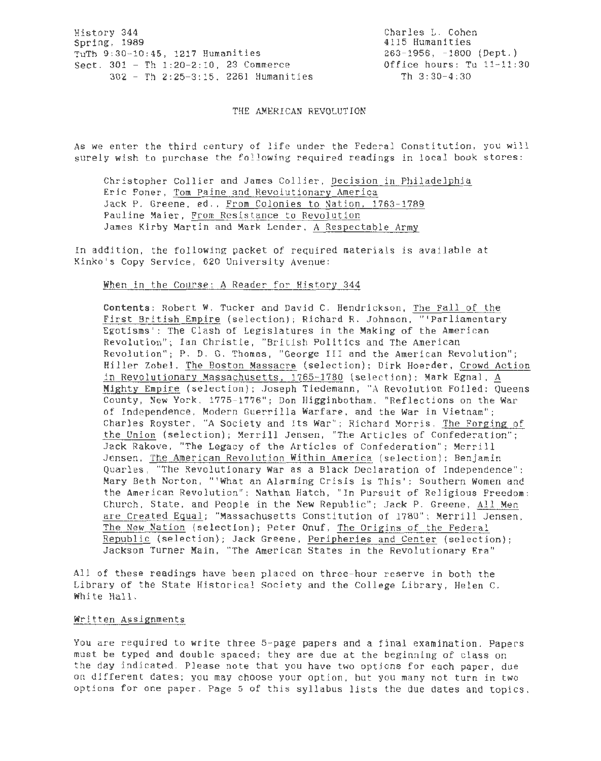History 344 Spring. 1989 TuTh 9:30-10:45, 1217 Humanities Sect. 301 - Th 1:20-2:10, 23 Commerce 302 - Th 2:25-3:15, 2261 Humanities

Charles L. Cohen 4115 Humanities  $263-1956$ ,  $-1800$  (Dept.) Office hours: Tu 11-11:30 Th 3:30-4:30

THE AMERICAN REVOLUTION

As we enter the third century of life under the Federal Constitution, you will surely wish to purchase the following required readings in local book stores:

Christopher Collier and James Collier, Decision in Philadelphia Eric Foner, Tom Paine and Revolutionary America Jack P. Greene, ed., From Colonies to Nation, 1763-1789 Pauline Maier, From Resistance to Revolution James Kirby Martin and Mark Lender, A Respectable Army

In addition, the following packet of required materials is available at Kinko's Copy Service, 620 University Avenue:

When in the Course: A Reader for History 344

Contents: Robert W. Tucker and David C. Hendrickson, The Fall of the First British Empire (selection); Richard R. Johnson, "' Parliamentary Egotisms': The Clash of Legislatures in the Making of the American Revolution"; Ian Christie, "British Politics and The American Revolution"; P. D. G. Thomas, "George III and the American Revolution"; Hiller Zobel, The Boston Massacre (selection); Dirk Hoerder, Crowd Action in Revolutionary Massachusetts, 1765-1780 (selection); Mark Egnal, A Mighty Empire (selection); Joseph Tiedemann, "A Revolution Foiled: Queens County, New York, 1775-1776"; Don Higginbotham , "Reflections on the War of Independence, Modern Guerrilla Warfare, and the War in Vietnam"; Charles Royster, "A Society and Its War "; Richard Morris, The Forging of the Union (selection); Merrill Jensen, "The Articles of Confederation"; Jack Rakove, "The Legacy of the Articles of Confederation''; Merrill Jensen, The American Revolution Within America (selection); Benjamin Quarles, "The Revolutionary War as a Black Declaration of Independence"; Mary Beth Norton, "'What an Alarming Crisis is This': Southern Women and the American Revolution"; Nathan Hatch, "In Pursuit of Religious Freedom: Church, State, and People in the New Republic"; Jack P. Greene, All Men are Created Equal; "Massachusetts Constitution of 1780"; Merrill Jensen, The New Nation (selection); Peter Onuf, The Origins of the Federal Republic (selection); Jack Greene, Peripheries and Center (selection); Jackson Turner Main , "The American States in the Revolutionary Era"

All of these readings have been placed on three-hour reserve in both the Library of the State Historical Society and the College Library, Helen C. White Hall.

## Written Assignments

You are required to write three 5-page papers and a final examination. Papers must be typed and double-spaced; they are due at the beginning of class on the day indicated. Please note that you have two options for each paper, due on different dates; you may choose your option, but you many not turn in two options for one paper. Page 5 of this syllabus lists the due dates and topics.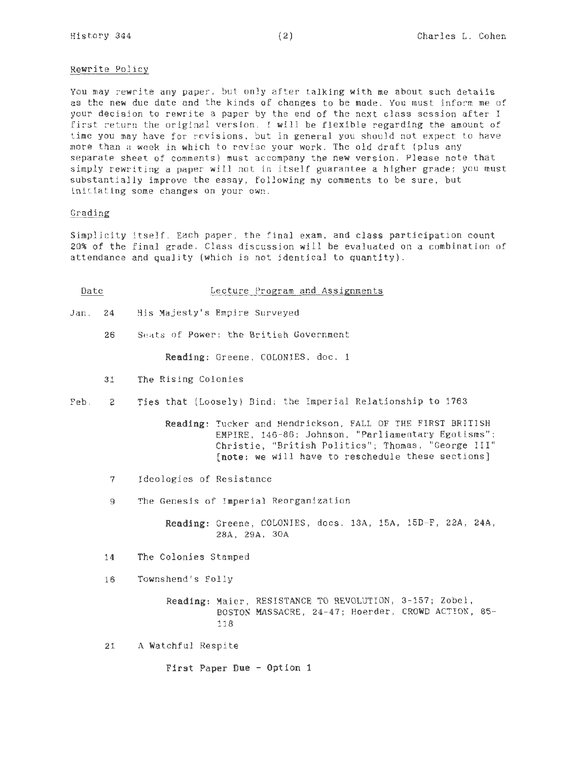#### Rewrite Policy

You may rewrite any paper, but only after talking with me about such details as the new due date and the kinds of changes to be made. You must inform me of your decision to rewrite a paper by the end of the next class session after I first return the original version. I will be flexible regarding the amount of time you may have for revisions, but in general you should not expect to have more than a week in which to revise your work . The old draft (plus any separate sheet of comments) must accompany the new version. Please note that simply rewriting a paper will not in itself guarantee a higher grade; you must substantially improve the essay, following my comments to be sure, but initiating some changes on your own.

## Grading

Simplicity itself. Each paper, the final exam, and class participation count 20% of the final grade. Class discussion will be evaluated on a combination of attendance and quality (which is not identical to quantity).

| Date |  | Lecture Program and Assignments |
|------|--|---------------------------------|
|      |  |                                 |

Jan. 24 His Majesty's Empire Surveyed

26 Seats of Power: the British Government

Reading: Greene, COLONIES, doc. 1

31 The Rising Colonies

Feb. 2 Ties that (Loosely) Bind: the Imperial Relationship to 1763

- Reading: Tucker and Hendrickson, FALL OF THE FIRST BRITISH EMPIRE, 146-86; Johnson, "Parliamentary Egotisms"; Christie, "British Politics"; Thomas, "George III" (note: we will have to reschedule these sections]
- 7 Ideologies of Resistance
- 9 The Genesis of Imperial Reorganization

Reading: Greene, COLONIES, docs. 13A, 15A, 15D-F, 22A, 24A, 28A, 29A, 30A

14 The Colonies Stamped

16 Townshend's Folly

Reading: Maier, RESISTANCE TO REVOLUTION, 3-157; Zobel, BOSTON MASSACRE, 24-47; Hoerder , CROWD ACTION, 85- 118

21 A Watchful Respite

First Paper Due - Option 1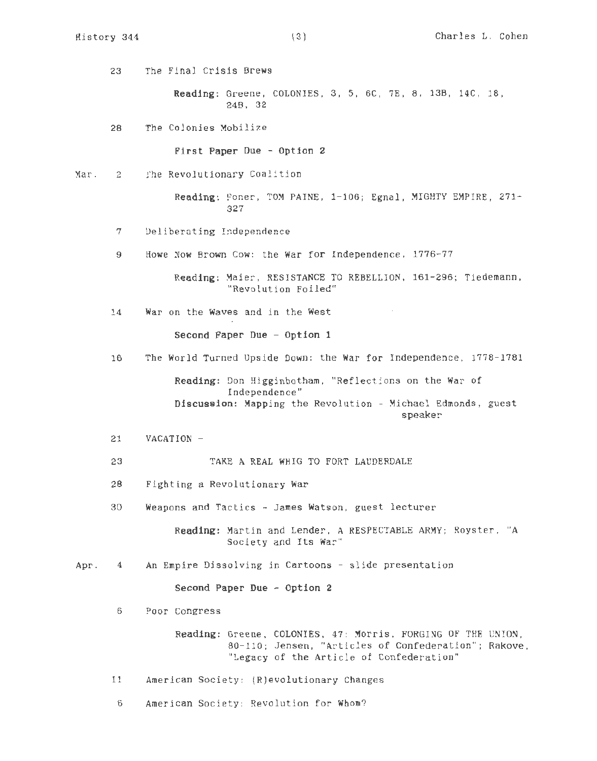23 The Final Crisis Brews

Reading: Greene, COLONIES, 3, 5, 6C, 7E, 8, 13B, 14C, 18, 248, 32

28 The Colonies Mobilize

First Paper Due - Option 2

~ar. 2 The Revolutionary Coalition

> Reading: Foner, TOM PAINE, 1-106; Egnal, MIGHTY EMPIRE, 271-327

7 Deliberating Independence

9 Howe Now Brown Cow: the War for Independence, 1776-77

Reading: Maier, RESISTANCE TO REBELLION, 161-296; Tiedemann, "Revolution Foiled"

14 War on the Waves and in the West

Second Paper Due - Option 1

16 The World Turned Upside Down: the War for Independence, 1778-1781

Reading: Don Higginbotham, "Reflections on the War of Independence" Discussion: Mapping the Revolution - Michael Edmonds, guest speaker

21 VACATION -

23 TAKE A REAL WHIG TO FORT LAUDERDALE

- 28 Fighting a Revolutionary War
- 30 Weapons and Tactics James Watson , guest lecturer

Reading: Martin and Lender, A RESPECTABLE ARMY; Royster, "A Society and Its War"

Apr. 4 An Empire Dissolving in Cartoons - slide presentation

Second Paper Due - Option 2

6 Poor Congress

Reading: Greene, COLONIES, 47: Morris, FORGING OF THE UNION, 80-110; Jensen, "Articles of Confederation"; Rakove, "Legacy of the Article of Confederation"

11 American Society: (R)evolutionary Changes

6 American Society: Revolution for Whom?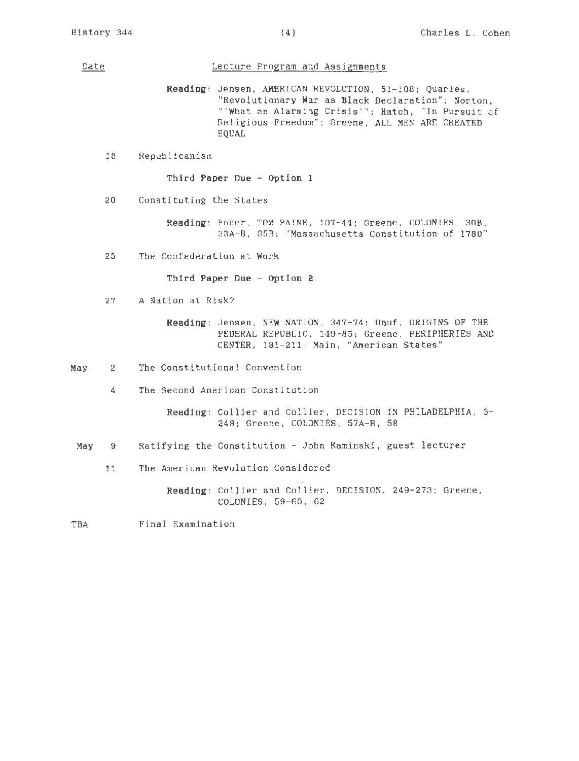# Date **Date** Lecture Program and Assignments

Reading: Jensen, AMERICAN REVOLUTION, 51-108; Quarles, "Revolutionary War as Black Declaration"; Norton, "'What an Alarming Crisis'"; Hatch , "In Pursuit of Religious Freedom"; Greene, ALL MEN ARE CREATED EQUAL

18 Republicanism

Third Paper Due - Option 1

20 Constituting the States

Reading: Foner, TOM PAINE, 107-44; Greene, COLONIES, 30B, 33A-B, 35B: "Massachusetts Constitution of 1780"

25 The Confederation at Work

Third Paper Due - Option 2

27 A Nation at Risk?

Reading: Jensen, NEW NATION, 347-74; Onuf, ORIGINS OF THE FEDERAL REPUBLIC, 149-85; Greene, PERIPHERIES AND CENTER, 181-211; Main, "American States"

- May 2 The Constitutional Convention
	- 4 The Second American Constitution

Reading: Collier and Collier, DECISION IN PHILADELPHIA, 3- 248; Greene, COLONIES, 57A-B, 58

- May 9 Ratifying the Constitution - John Kaminski, guest lecturer
	- 11 The American Revolution Considered

Reading: Collier and Collier, DECISION, 249-273; Greene, COLONIES, 59-60, 62

TBA Final Examination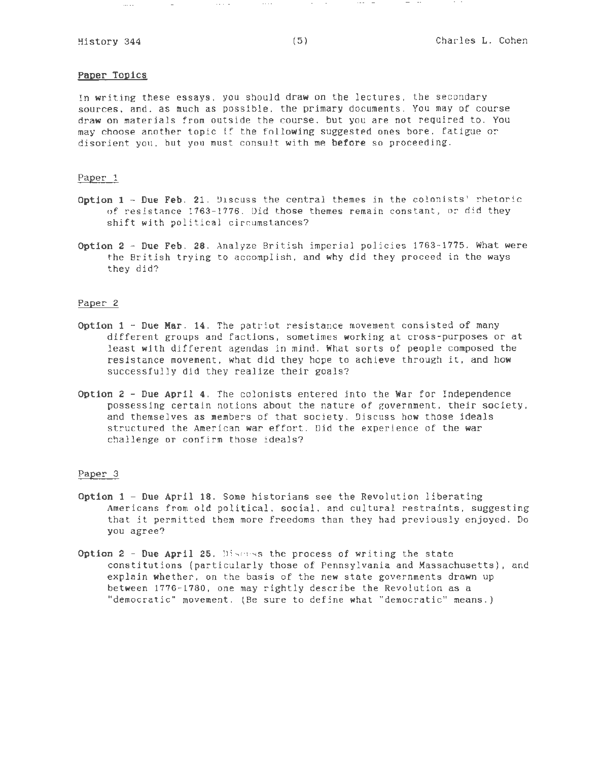$\cdots$ 

# Paper Topics

In writing these essays, you should draw on the lectures, the secondary sources, and, as much as possible, the primary documents. You may of course draw on materials from outside the course, but you are not required to. You may choose another topic if the following suggested ones bore, fatigue or disorient you, but you must consult with me before so proceeding.

#### Paper 1

- Option 1 Due Feb. 21 . Uiscuss the central themes in the colonists' rhetoric of resistance 1763-1776. Did those themes remain constant, or did they shift with political circumstances?
- Option  $2 Due Feb$ . 28. Analyze British imperial policies  $1763-1775$ . What were the British trying to accomplish, and why did they proceed in the ways they did?

### Paper 2

- Option  $1 -$  Due Mar. 14. The patriot resistance movement consisted of many different groups and factions, sometimes working at cross- purposes or at least with different agendas in mind. What sorts of people composed the resistance movement, what did they hope to achieve through it, and how successfully did they realize their goals?
- Option 2 Due April 4 . The colonists entered into the War for Independence possessing certain notions about the nature of government, their society, and themselves as members of that society. Discuss how those ideals structured the American war effort. Did the experience of the war challenge or confirm those ideals?

#### Paper 3

- Option 1 Due April 18. Some historians see the Revolution liberating Americans from old political, social, and cultural restraints, suggesting that it permitted them more freedoms than they had previously enjoyed. Do you agree?
- Option  $2$  Due April 25. Discress the process of writing the state constitutions (particularly those of Pennsylvania and Massachusetts), and explain whether, on the basis of the new state governments drawn up between 1776- 1780, one may rightly describe the Revolution as a "democratic" movement. (Be sure to define what "democratic" means .)

 $\sim$   $\sim$   $\sim$ 

 $\sim 1000$  km s  $^{-1}$